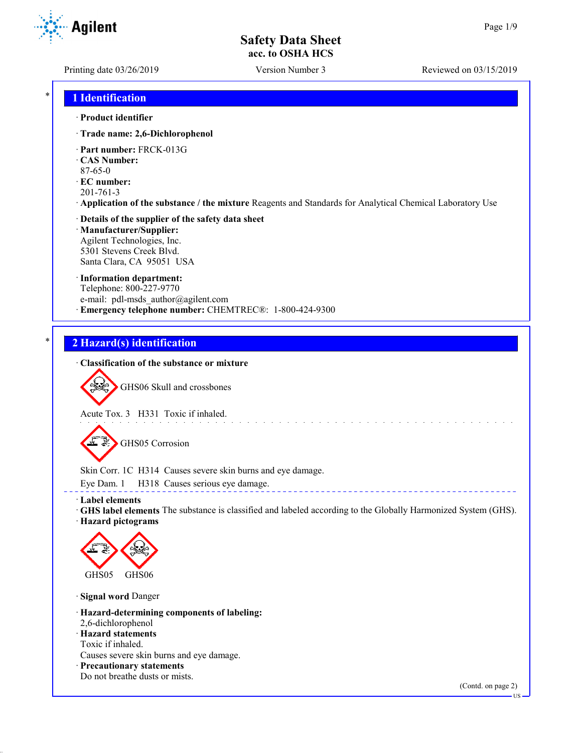**Agilent** 

Printing date 03/26/2019 Version Number 3 Reviewed on 03/15/2019

## \* **1 Identification**

#### · **Product identifier**

- · **Trade name: 2,6-Dichlorophenol**
- · **Part number:** FRCK-013G
- · **CAS Number:**
- 87-65-0
- · **EC number:**
- 201-761-3
- · **Application of the substance / the mixture** Reagents and Standards for Analytical Chemical Laboratory Use

#### · **Details of the supplier of the safety data sheet** · **Manufacturer/Supplier:** Agilent Technologies, Inc.

5301 Stevens Creek Blvd. Santa Clara, CA 95051 USA

#### · **Information department:**

Telephone: 800-227-9770 e-mail: pdl-msds author@agilent.com · **Emergency telephone number:** CHEMTREC®: 1-800-424-9300

## \* **2 Hazard(s) identification**

#### · **Classification of the substance or mixture**



GHS06 Skull and crossbones

Acute Tox. 3 H331 Toxic if inhaled.



Skin Corr. 1C H314 Causes severe skin burns and eye damage.

Eye Dam. 1 H318 Causes serious eye damage.

#### · **Label elements**

· **GHS label elements** The substance is classified and labeled according to the Globally Harmonized System (GHS). · **Hazard pictograms**



· **Signal word** Danger

- · **Hazard-determining components of labeling:**
- 2,6-dichlorophenol
- · **Hazard statements**
- Toxic if inhaled.

Causes severe skin burns and eye damage.

· **Precautionary statements** Do not breathe dusts or mists.

(Contd. on page 2)

US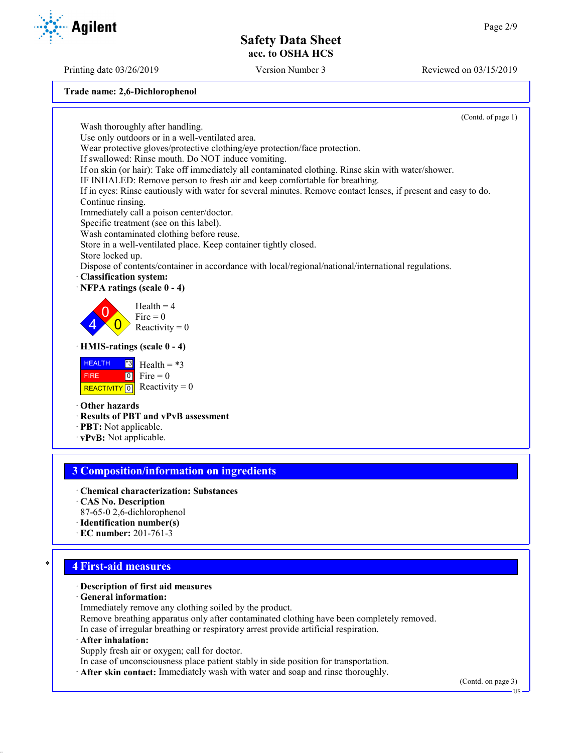Printing date 03/26/2019 Version Number 3 Reviewed on 03/15/2019

**Trade name: 2,6-Dichlorophenol**

(Contd. of page 1) Wash thoroughly after handling. Use only outdoors or in a well-ventilated area. Wear protective gloves/protective clothing/eye protection/face protection. If swallowed: Rinse mouth. Do NOT induce vomiting. If on skin (or hair): Take off immediately all contaminated clothing. Rinse skin with water/shower. IF INHALED: Remove person to fresh air and keep comfortable for breathing. If in eyes: Rinse cautiously with water for several minutes. Remove contact lenses, if present and easy to do. Continue rinsing. Immediately call a poison center/doctor. Specific treatment (see on this label). Wash contaminated clothing before reuse. Store in a well-ventilated place. Keep container tightly closed. Store locked up. Dispose of contents/container in accordance with local/regional/national/international regulations. · **Classification system:** · **NFPA ratings (scale 0 - 4)** 4  $\overline{0}$  $\overline{0}$  $Health = 4$  $Fire = 0$ Reactivity  $= 0$ · **HMIS-ratings (scale 0 - 4) HEALTH**  FIRE REACTIVITY  $\boxed{0}$  Reactivity = 0 \*3  $\boxed{0}$ Health  $= *3$  $Fire = 0$ · **Other hazards** · **Results of PBT and vPvB assessment** · **PBT:** Not applicable. · **vPvB:** Not applicable. **3 Composition/information on ingredients**

- · **Chemical characterization: Substances** · **CAS No. Description**
- 87-65-0 2,6-dichlorophenol
- · **Identification number(s)**
- · **EC number:** 201-761-3

## \* **4 First-aid measures**

- · **Description of first aid measures**
- · **General information:**
- Immediately remove any clothing soiled by the product.
- Remove breathing apparatus only after contaminated clothing have been completely removed.
- In case of irregular breathing or respiratory arrest provide artificial respiration.
- · **After inhalation:**
- Supply fresh air or oxygen; call for doctor.
- In case of unconsciousness place patient stably in side position for transportation.
- · **After skin contact:** Immediately wash with water and soap and rinse thoroughly.

US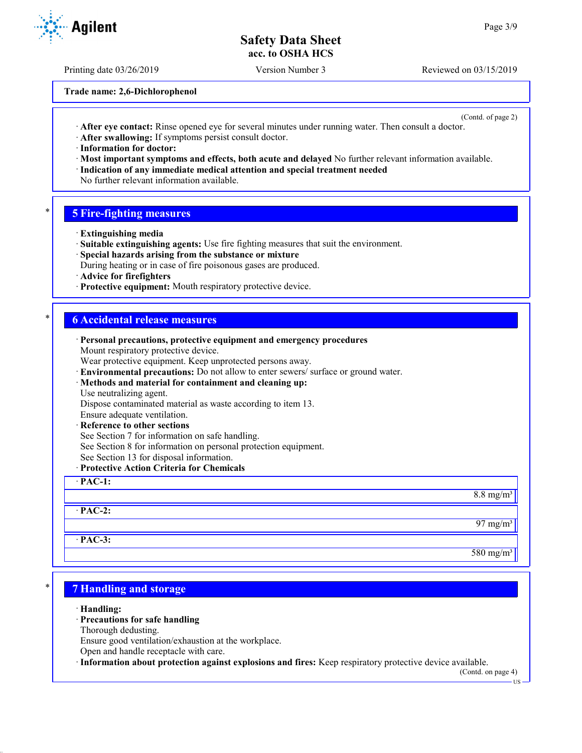Printing date 03/26/2019 Version Number 3 Reviewed on 03/15/2019

**Trade name: 2,6-Dichlorophenol**

(Contd. of page 2)

- · **After eye contact:** Rinse opened eye for several minutes under running water. Then consult a doctor.
- · **After swallowing:** If symptoms persist consult doctor.

· **Information for doctor:**

- · **Most important symptoms and effects, both acute and delayed** No further relevant information available.
- · **Indication of any immediate medical attention and special treatment needed**
- No further relevant information available.

## \* **5 Fire-fighting measures**

- · **Extinguishing media**
- · **Suitable extinguishing agents:** Use fire fighting measures that suit the environment.
- · **Special hazards arising from the substance or mixture**
- During heating or in case of fire poisonous gases are produced.
- · **Advice for firefighters**
- · **Protective equipment:** Mouth respiratory protective device.

#### \* **6 Accidental release measures**

| <b>Personal precautions, protective equipment and emergency procedures</b><br>Mount respiratory protective device. |                      |
|--------------------------------------------------------------------------------------------------------------------|----------------------|
| Wear protective equipment. Keep unprotected persons away.                                                          |                      |
| · Environmental precautions: Do not allow to enter sewers/ surface or ground water.                                |                      |
| · Methods and material for containment and cleaning up:                                                            |                      |
| Use neutralizing agent.                                                                                            |                      |
| Dispose contaminated material as waste according to item 13.                                                       |                      |
| Ensure adequate ventilation.                                                                                       |                      |
| · Reference to other sections                                                                                      |                      |
| See Section 7 for information on safe handling.                                                                    |                      |
| See Section 8 for information on personal protection equipment.                                                    |                      |
| See Section 13 for disposal information.                                                                           |                      |
| · Protective Action Criteria for Chemicals                                                                         |                      |
| $\cdot$ PAC-1:                                                                                                     |                      |
|                                                                                                                    | $8.8 \text{ mg/m}^3$ |
| $\cdot$ PAC-2:                                                                                                     |                      |
|                                                                                                                    | 97 mg/m $3$          |
| $·$ PAC-3:                                                                                                         |                      |
|                                                                                                                    | $580 \text{ mg/m}^3$ |

## \* **7 Handling and storage**

· **Handling:**

## · **Precautions for safe handling**

Thorough dedusting.

Ensure good ventilation/exhaustion at the workplace.

Open and handle receptacle with care.

· **Information about protection against explosions and fires:** Keep respiratory protective device available.

(Contd. on page 4) US

**Agilent**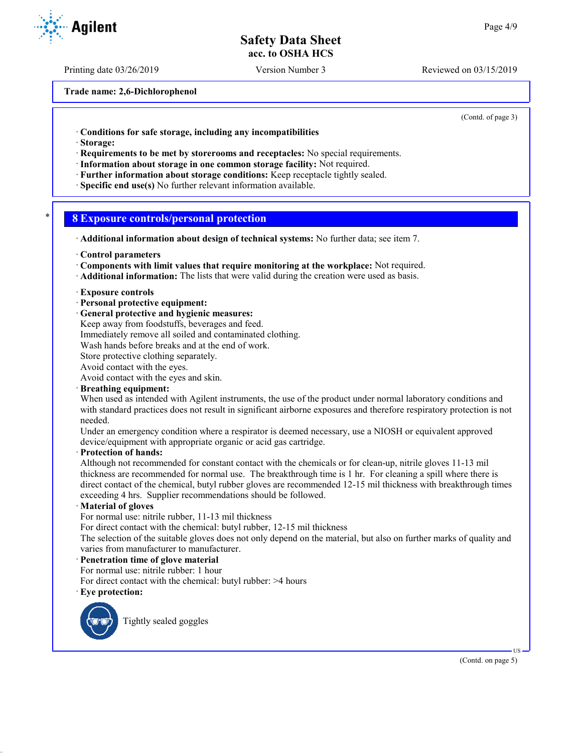Printing date 03/26/2019 Version Number 3 Reviewed on 03/15/2019

**Trade name: 2,6-Dichlorophenol**

(Contd. of page 3)

· **Conditions for safe storage, including any incompatibilities**

- · **Storage:**
- · **Requirements to be met by storerooms and receptacles:** No special requirements.
- · **Information about storage in one common storage facility:** Not required.
- · **Further information about storage conditions:** Keep receptacle tightly sealed.
- · **Specific end use(s)** No further relevant information available.

## \* **8 Exposure controls/personal protection**

- · **Additional information about design of technical systems:** No further data; see item 7.
- · **Control parameters**
- · **Components with limit values that require monitoring at the workplace:** Not required.
- · **Additional information:** The lists that were valid during the creation were used as basis.

#### · **Exposure controls**

- · **Personal protective equipment:**
- · **General protective and hygienic measures:**
- Keep away from foodstuffs, beverages and feed.
- Immediately remove all soiled and contaminated clothing.

Wash hands before breaks and at the end of work.

Store protective clothing separately.

Avoid contact with the eyes.

Avoid contact with the eyes and skin.

#### · **Breathing equipment:**

When used as intended with Agilent instruments, the use of the product under normal laboratory conditions and with standard practices does not result in significant airborne exposures and therefore respiratory protection is not needed.

Under an emergency condition where a respirator is deemed necessary, use a NIOSH or equivalent approved device/equipment with appropriate organic or acid gas cartridge.

#### · **Protection of hands:**

Although not recommended for constant contact with the chemicals or for clean-up, nitrile gloves 11-13 mil thickness are recommended for normal use. The breakthrough time is 1 hr. For cleaning a spill where there is direct contact of the chemical, butyl rubber gloves are recommended 12-15 mil thickness with breakthrough times exceeding 4 hrs. Supplier recommendations should be followed.

#### · **Material of gloves**

For normal use: nitrile rubber, 11-13 mil thickness

For direct contact with the chemical: butyl rubber, 12-15 mil thickness

The selection of the suitable gloves does not only depend on the material, but also on further marks of quality and varies from manufacturer to manufacturer.

#### · **Penetration time of glove material**

For normal use: nitrile rubber: 1 hour

For direct contact with the chemical: butyl rubber: >4 hours

· **Eye protection:**



Tightly sealed goggles

(Contd. on page 5)

US

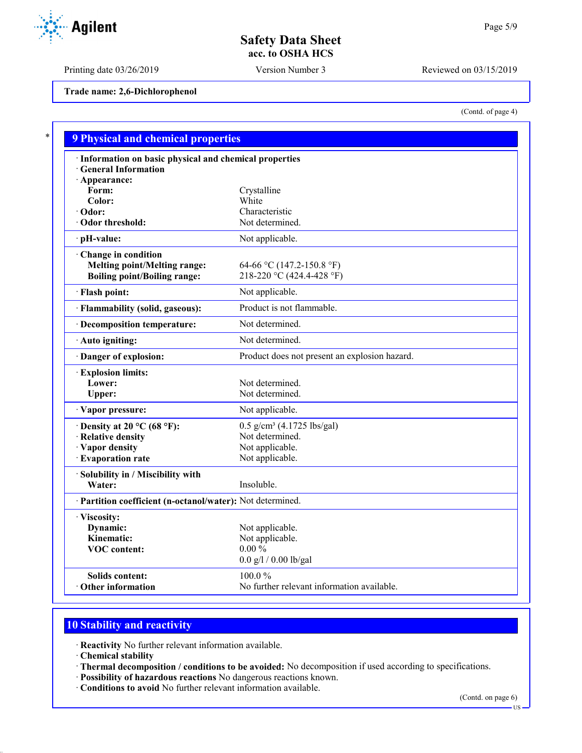Printing date 03/26/2019 Version Number 3 Reviewed on 03/15/2019

**Trade name: 2,6-Dichlorophenol**

(Contd. of page 4)

| · Information on basic physical and chemical properties    |                                               |
|------------------------------------------------------------|-----------------------------------------------|
| <b>General Information</b>                                 |                                               |
| · Appearance:<br>Form:                                     | Crystalline                                   |
| Color:                                                     | White                                         |
| · Odor:                                                    | Characteristic                                |
| Odor threshold:                                            | Not determined.                               |
| · pH-value:                                                | Not applicable.                               |
| Change in condition                                        |                                               |
| <b>Melting point/Melting range:</b>                        | 64-66 °C (147.2-150.8 °F)                     |
| <b>Boiling point/Boiling range:</b>                        | 218-220 °C (424.4-428 °F)                     |
| · Flash point:                                             | Not applicable.                               |
| · Flammability (solid, gaseous):                           | Product is not flammable.                     |
| · Decomposition temperature:                               | Not determined.                               |
| · Auto igniting:                                           | Not determined.                               |
| Danger of explosion:                                       | Product does not present an explosion hazard. |
| <b>Explosion limits:</b>                                   |                                               |
| Lower:                                                     | Not determined.                               |
| Upper:                                                     | Not determined.                               |
| · Vapor pressure:                                          | Not applicable.                               |
| $\cdot$ Density at 20 °C (68 °F):                          | 0.5 g/cm <sup>3</sup> (4.1725 lbs/gal)        |
| · Relative density                                         | Not determined.                               |
| · Vapor density                                            | Not applicable.                               |
| · Evaporation rate                                         | Not applicable.                               |
| · Solubility in / Miscibility with                         |                                               |
| Water:                                                     | Insoluble.                                    |
| · Partition coefficient (n-octanol/water): Not determined. |                                               |
| · Viscosity:                                               |                                               |
| Dynamic:                                                   | Not applicable.                               |
| Kinematic:                                                 | Not applicable.                               |
| <b>VOC</b> content:                                        | $0.00\%$                                      |
|                                                            | $0.0$ g/l / $0.00$ lb/gal                     |

# **10 Stability and reactivity**

· **Reactivity** No further relevant information available.

· **Chemical stability**

- · **Thermal decomposition / conditions to be avoided:** No decomposition if used according to specifications.
- · **Possibility of hazardous reactions** No dangerous reactions known.
- · **Conditions to avoid** No further relevant information available.

(Contd. on page 6)



US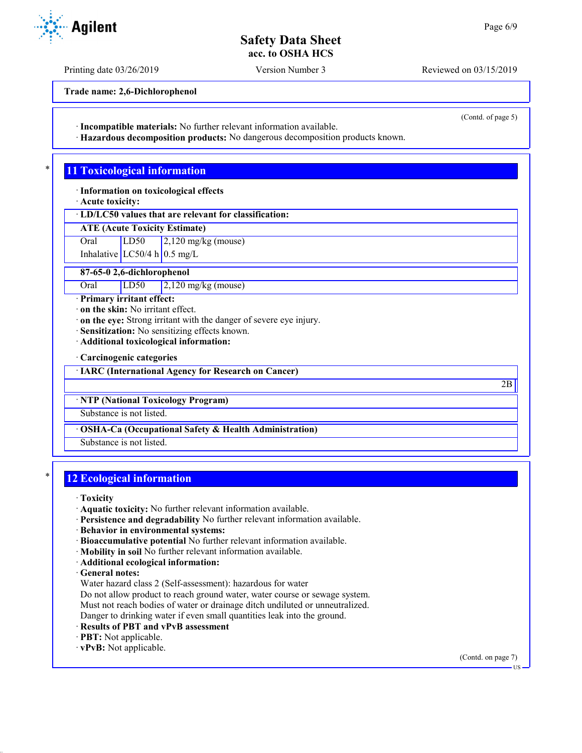Printing date 03/26/2019 Version Number 3 Reviewed on 03/15/2019

(Contd. of page 5)

**Trade name: 2,6-Dichlorophenol**

· **Incompatible materials:** No further relevant information available.

· **Hazardous decomposition products:** No dangerous decomposition products known.

# **11 Toxicological information**

· **Information on toxicological effects**

· **Acute toxicity:**

· **LD/LC50 values that are relevant for classification:**

**ATE (Acute Toxicity Estimate)**

Oral LD50 2,120 mg/kg (mouse)

Inhalative  $LC50/4$  h 0.5 mg/L

**87-65-0 2,6-dichlorophenol**

Oral LD50 2,120 mg/kg (mouse)

· **Primary irritant effect:**

· **on the skin:** No irritant effect.

· **on the eye:** Strong irritant with the danger of severe eye injury.

· **Sensitization:** No sensitizing effects known.

· **Additional toxicological information:**

· **Carcinogenic categories**

· **IARC (International Agency for Research on Cancer)**

· **NTP (National Toxicology Program)**

Substance is not listed.

· **OSHA-Ca (Occupational Safety & Health Administration)**

Substance is not listed.

## **12 Ecological information**

· **Toxicity**

· **Aquatic toxicity:** No further relevant information available.

- · **Persistence and degradability** No further relevant information available.
- · **Behavior in environmental systems:**
- · **Bioaccumulative potential** No further relevant information available.
- · **Mobility in soil** No further relevant information available.
- · **Additional ecological information:**

· **General notes:**

Water hazard class 2 (Self-assessment): hazardous for water

Do not allow product to reach ground water, water course or sewage system.

Must not reach bodies of water or drainage ditch undiluted or unneutralized.

Danger to drinking water if even small quantities leak into the ground.

- · **Results of PBT and vPvB assessment**
- · **PBT:** Not applicable.

· **vPvB:** Not applicable.

US



2B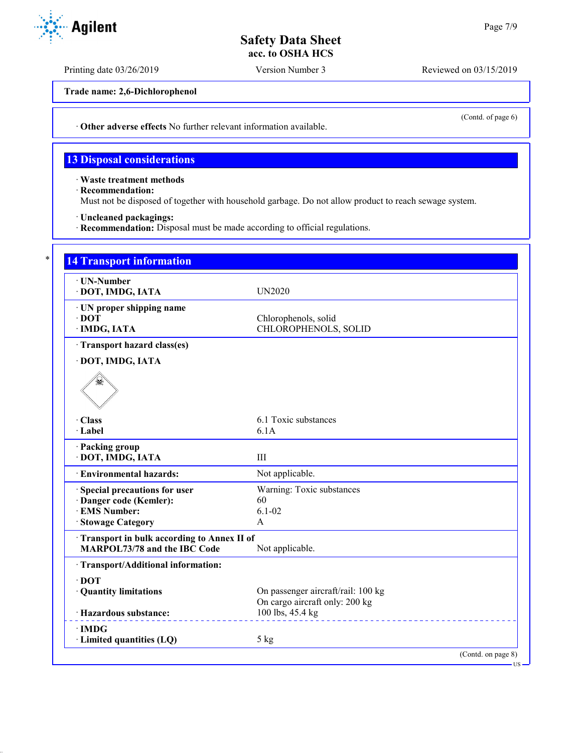Printing date 03/26/2019 Version Number 3 Reviewed on 03/15/2019

**Trade name: 2,6-Dichlorophenol**

· **Other adverse effects** No further relevant information available.

## **13 Disposal considerations**

· **Waste treatment methods**

· **Recommendation:**

Must not be disposed of together with household garbage. Do not allow product to reach sewage system.

· **Uncleaned packagings:**

· **Recommendation:** Disposal must be made according to official regulations.

| · UN-Number<br>· DOT, IMDG, IATA           | <b>UN2020</b>                      |  |
|--------------------------------------------|------------------------------------|--|
|                                            |                                    |  |
| · UN proper shipping name<br>$\cdot$ DOT   | Chlorophenols, solid               |  |
| · IMDG, IATA                               | CHLOROPHENOLS, SOLID               |  |
|                                            |                                    |  |
| · Transport hazard class(es)               |                                    |  |
| · DOT, IMDG, IATA                          |                                    |  |
|                                            |                                    |  |
| · Class                                    | 6.1 Toxic substances               |  |
| · Label                                    | 6.1A                               |  |
| · Packing group<br>· DOT, IMDG, IATA       | $\rm III$                          |  |
| · Environmental hazards:                   | Not applicable.                    |  |
| Special precautions for user               | Warning: Toxic substances          |  |
| · Danger code (Kemler):                    | 60                                 |  |
| · EMS Number:                              | $6.1 - 02$                         |  |
| · Stowage Category                         | $\overline{A}$                     |  |
| Transport in bulk according to Annex II of |                                    |  |
| <b>MARPOL73/78 and the IBC Code</b>        | Not applicable.                    |  |
| · Transport/Additional information:        |                                    |  |
| $\cdot$ DOT                                |                                    |  |
| · Quantity limitations                     | On passenger aircraft/rail: 100 kg |  |
|                                            | On cargo aircraft only: 200 kg     |  |
| · Hazardous substance:                     | 100 lbs, 45.4 kg                   |  |
| $\cdot$ IMDG                               |                                    |  |
| · Limited quantities (LQ)                  | $5$ kg                             |  |



(Contd. of page 6)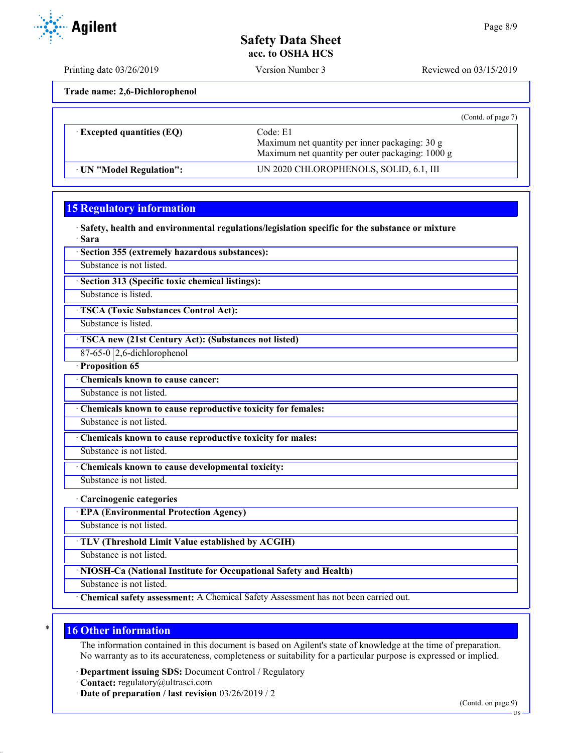Printing date 03/26/2019 Version Number 3 Reviewed on 03/15/2019

**Trade name: 2,6-Dichlorophenol**

|                                  | (Contd. of page 7)                                                                                             |
|----------------------------------|----------------------------------------------------------------------------------------------------------------|
| $\cdot$ Excepted quantities (EQ) | Code: E1<br>Maximum net quantity per inner packaging: 30 g<br>Maximum net quantity per outer packaging: 1000 g |
| · UN "Model Regulation":         | UN 2020 CHLOROPHENOLS, SOLID, 6.1, III                                                                         |

# **15 Regulatory information**

· **Safety, health and environmental regulations/legislation specific for the substance or mixture** · **Sara**

· **Section 355 (extremely hazardous substances):**

Substance is not listed.

· **Section 313 (Specific toxic chemical listings):**

Substance is listed.

· **TSCA (Toxic Substances Control Act):**

Substance is listed.

· **TSCA new (21st Century Act): (Substances not listed)**

 $87-65-0$  2,6-dichlorophenol

· **Proposition 65**

· **Chemicals known to cause cancer:**

Substance is not listed.

· **Chemicals known to cause reproductive toxicity for females:**

Substance is not listed.

· **Chemicals known to cause reproductive toxicity for males:**

Substance is not listed.

· **Chemicals known to cause developmental toxicity:**

Substance is not listed.

· **Carcinogenic categories**

· **EPA (Environmental Protection Agency)**

Substance is not listed.

· **TLV (Threshold Limit Value established by ACGIH)**

Substance is not listed.

· **NIOSH-Ca (National Institute for Occupational Safety and Health)**

Substance is not listed.

· **Chemical safety assessment:** A Chemical Safety Assessment has not been carried out.

## **16 Other information**

The information contained in this document is based on Agilent's state of knowledge at the time of preparation. No warranty as to its accurateness, completeness or suitability for a particular purpose is expressed or implied.

· **Department issuing SDS:** Document Control / Regulatory

· **Contact:** regulatory@ultrasci.com

· **Date of preparation / last revision** 03/26/2019 / 2